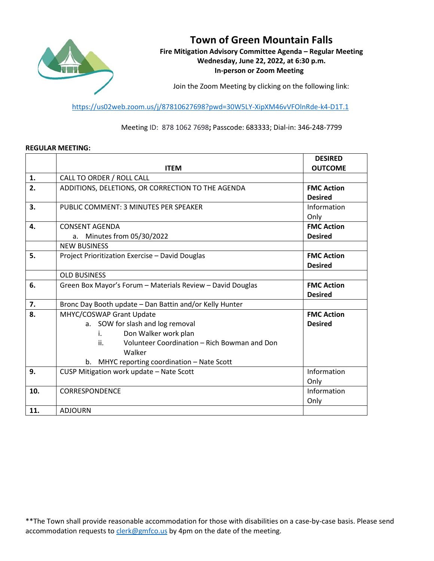

# **Town of Green Mountain Falls**

**Fire Mitigation Advisory Committee Agenda – Regular Meeting Wednesday, June 22, 2022, at 6:30 p.m. In-person or Zoom Meeting**

Join the Zoom Meeting by clicking on the following link:

<https://us02web.zoom.us/j/87810627698?pwd=30W5LY-XipXM46vVFOlnRde-k4-D1T.1>

Meeting ID: 878 1062 7698**;** Passcode: 683333; Dial-in: 346-248-7799

#### **REGULAR MEETING:**

|     |                                                            | <b>DESIRED</b>    |
|-----|------------------------------------------------------------|-------------------|
|     | <b>ITEM</b>                                                | <b>OUTCOME</b>    |
| 1.  | CALL TO ORDER / ROLL CALL                                  |                   |
| 2.  | ADDITIONS, DELETIONS, OR CORRECTION TO THE AGENDA          | <b>FMC Action</b> |
|     |                                                            | <b>Desired</b>    |
| 3.  | PUBLIC COMMENT: 3 MINUTES PER SPEAKER                      | Information       |
|     |                                                            | Only              |
| 4.  | <b>CONSENT AGENDA</b>                                      | <b>FMC Action</b> |
|     | a. Minutes from 05/30/2022                                 | <b>Desired</b>    |
|     | <b>NEW BUSINESS</b>                                        |                   |
| 5.  | Project Prioritization Exercise - David Douglas            | <b>FMC Action</b> |
|     |                                                            | <b>Desired</b>    |
|     | <b>OLD BUSINESS</b>                                        |                   |
| 6.  | Green Box Mayor's Forum - Materials Review - David Douglas | <b>FMC Action</b> |
|     |                                                            | <b>Desired</b>    |
| 7.  | Bronc Day Booth update - Dan Battin and/or Kelly Hunter    |                   |
| 8.  | MHYC/COSWAP Grant Update                                   | <b>FMC Action</b> |
|     | a. SOW for slash and log removal                           | <b>Desired</b>    |
|     | Don Walker work plan<br>i.                                 |                   |
|     | ii.<br>Volunteer Coordination - Rich Bowman and Don        |                   |
|     | Walker                                                     |                   |
|     | MHYC reporting coordination - Nate Scott<br>b.             |                   |
| 9.  | CUSP Mitigation work update - Nate Scott                   | Information       |
|     |                                                            | Only              |
| 10. | CORRESPONDENCE                                             | Information       |
|     |                                                            | Only              |
| 11. | <b>ADJOURN</b>                                             |                   |

\*\*The Town shall provide reasonable accommodation for those with disabilities on a case-by-case basis. Please send accommodation requests to [clerk@gmfco.us](mailto:clerk@gmfco.us) by 4pm on the date of the meeting.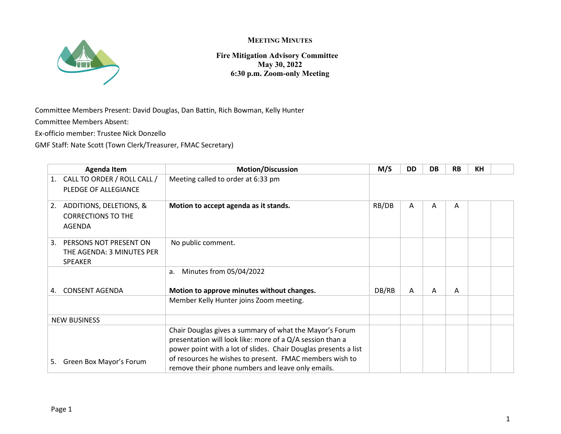

**Fire Mitigation Advisory Committee May 30, 2022 6:30 p.m. Zoom-only Meeting**

Committee Members Present: David Douglas, Dan Battin, Rich Bowman, Kelly Hunter

Committee Members Absent:

Ex-officio member: Trustee Nick Donzello

GMF Staff: Nate Scott (Town Clerk/Treasurer, FMAC Secretary)

| <b>Agenda Item</b> |                                                                       | <b>Motion/Discussion</b>                                                                                                                                                                                                                                                                                | M/S   | <b>DD</b> | DB | <b>RB</b> | <b>KH</b> |  |
|--------------------|-----------------------------------------------------------------------|---------------------------------------------------------------------------------------------------------------------------------------------------------------------------------------------------------------------------------------------------------------------------------------------------------|-------|-----------|----|-----------|-----------|--|
| 1.                 | CALL TO ORDER / ROLL CALL /<br>PLEDGE OF ALLEGIANCE                   | Meeting called to order at 6:33 pm                                                                                                                                                                                                                                                                      |       |           |    |           |           |  |
| 2.                 | ADDITIONS, DELETIONS, &<br><b>CORRECTIONS TO THE</b><br><b>AGENDA</b> | Motion to accept agenda as it stands.                                                                                                                                                                                                                                                                   | RB/DB | A         | A  | A         |           |  |
| 3.                 | PERSONS NOT PRESENT ON<br>THE AGENDA: 3 MINUTES PER<br><b>SPEAKER</b> | No public comment.                                                                                                                                                                                                                                                                                      |       |           |    |           |           |  |
|                    |                                                                       | Minutes from 05/04/2022<br>a.                                                                                                                                                                                                                                                                           |       |           |    |           |           |  |
| 4.                 | <b>CONSENT AGENDA</b>                                                 | Motion to approve minutes without changes.                                                                                                                                                                                                                                                              | DB/RB | A         | A  | Α         |           |  |
|                    |                                                                       | Member Kelly Hunter joins Zoom meeting.                                                                                                                                                                                                                                                                 |       |           |    |           |           |  |
|                    | <b>NEW BUSINESS</b>                                                   |                                                                                                                                                                                                                                                                                                         |       |           |    |           |           |  |
| 5.                 | Green Box Mayor's Forum                                               | Chair Douglas gives a summary of what the Mayor's Forum<br>presentation will look like: more of a Q/A session than a<br>power point with a lot of slides. Chair Douglas presents a list<br>of resources he wishes to present. FMAC members wish to<br>remove their phone numbers and leave only emails. |       |           |    |           |           |  |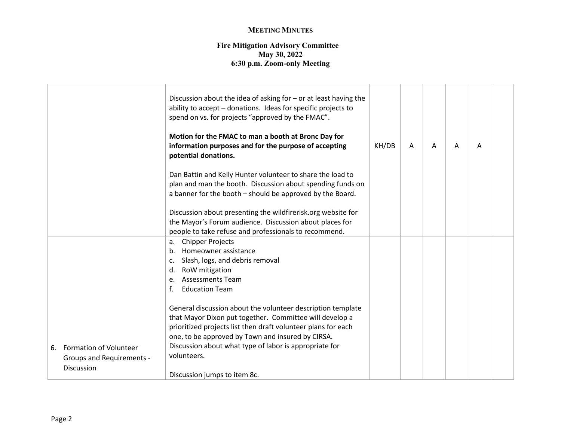|    |                                                       | Discussion about the idea of asking for $-$ or at least having the<br>ability to accept - donations. Ideas for specific projects to<br>spend on vs. for projects "approved by the FMAC".<br>Motion for the FMAC to man a booth at Bronc Day for<br>information purposes and for the purpose of accepting<br>potential donations. | KH/DB | A | A | A | A |  |
|----|-------------------------------------------------------|----------------------------------------------------------------------------------------------------------------------------------------------------------------------------------------------------------------------------------------------------------------------------------------------------------------------------------|-------|---|---|---|---|--|
|    |                                                       | Dan Battin and Kelly Hunter volunteer to share the load to<br>plan and man the booth. Discussion about spending funds on<br>a banner for the booth - should be approved by the Board.                                                                                                                                            |       |   |   |   |   |  |
|    |                                                       | Discussion about presenting the wildfirerisk.org website for<br>the Mayor's Forum audience. Discussion about places for<br>people to take refuse and professionals to recommend.                                                                                                                                                 |       |   |   |   |   |  |
|    |                                                       | a. Chipper Projects<br>b. Homeowner assistance<br>c. Slash, logs, and debris removal<br>d. RoW mitigation<br><b>Assessments Team</b><br>e.<br>f.<br><b>Education Team</b>                                                                                                                                                        |       |   |   |   |   |  |
| 6. | <b>Formation of Volunteer</b>                         | General discussion about the volunteer description template<br>that Mayor Dixon put together. Committee will develop a<br>prioritized projects list then draft volunteer plans for each<br>one, to be approved by Town and insured by CIRSA.<br>Discussion about what type of labor is appropriate for                           |       |   |   |   |   |  |
|    | <b>Groups and Requirements -</b><br><b>Discussion</b> | volunteers.<br>Discussion jumps to item 8c.                                                                                                                                                                                                                                                                                      |       |   |   |   |   |  |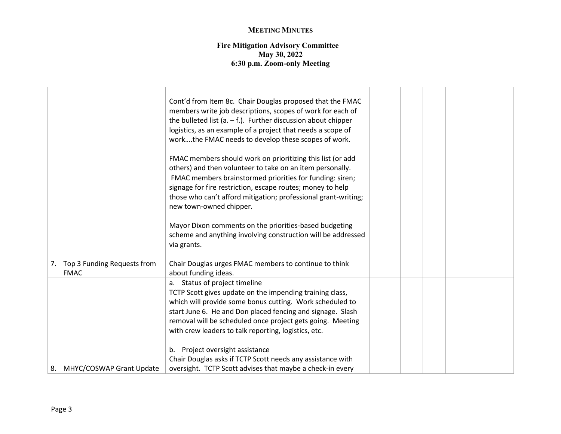| Cont'd from Item 8c. Chair Douglas proposed that the FMAC<br>members write job descriptions, scopes of work for each of<br>the bulleted list (a. $-$ f.). Further discussion about chipper<br>logistics, as an example of a project that needs a scope of<br>workthe FMAC needs to develop these scopes of work.<br>FMAC members should work on prioritizing this list (or add<br>others) and then volunteer to take on an item personally. |                                                                                                                      |  |  |  |
|---------------------------------------------------------------------------------------------------------------------------------------------------------------------------------------------------------------------------------------------------------------------------------------------------------------------------------------------------------------------------------------------------------------------------------------------|----------------------------------------------------------------------------------------------------------------------|--|--|--|
| FMAC members brainstormed priorities for funding: siren;<br>signage for fire restriction, escape routes; money to help<br>those who can't afford mitigation; professional grant-writing;<br>new town-owned chipper.<br>Mayor Dixon comments on the priorities-based budgeting<br>scheme and anything involving construction will be addressed<br>via grants.                                                                                |                                                                                                                      |  |  |  |
| Chair Douglas urges FMAC members to continue to think                                                                                                                                                                                                                                                                                                                                                                                       |                                                                                                                      |  |  |  |
| a. Status of project timeline<br>TCTP Scott gives update on the impending training class,<br>which will provide some bonus cutting. Work scheduled to<br>start June 6. He and Don placed fencing and signage. Slash<br>removal will be scheduled once project gets going. Meeting<br>with crew leaders to talk reporting, logistics, etc.                                                                                                   |                                                                                                                      |  |  |  |
| Chair Douglas asks if TCTP Scott needs any assistance with                                                                                                                                                                                                                                                                                                                                                                                  |                                                                                                                      |  |  |  |
|                                                                                                                                                                                                                                                                                                                                                                                                                                             | about funding ideas.<br>b. Project oversight assistance<br>oversight. TCTP Scott advises that maybe a check-in every |  |  |  |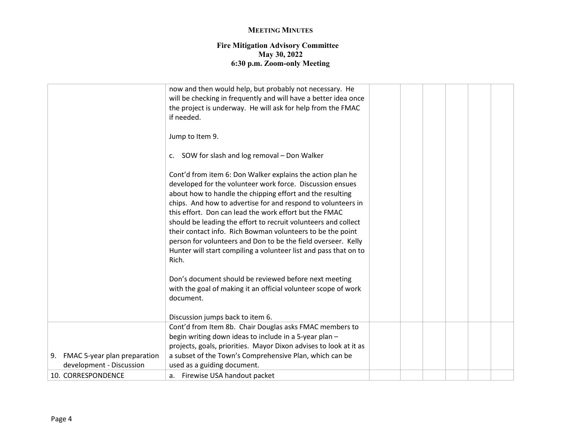|                                 | now and then would help, but probably not necessary. He<br>will be checking in frequently and will have a better idea once<br>the project is underway. He will ask for help from the FMAC<br>if needed.                                                                                                                                                                                                                                                                                                                                                                                      |  |  |  |
|---------------------------------|----------------------------------------------------------------------------------------------------------------------------------------------------------------------------------------------------------------------------------------------------------------------------------------------------------------------------------------------------------------------------------------------------------------------------------------------------------------------------------------------------------------------------------------------------------------------------------------------|--|--|--|
|                                 | Jump to Item 9.                                                                                                                                                                                                                                                                                                                                                                                                                                                                                                                                                                              |  |  |  |
|                                 | c. SOW for slash and log removal - Don Walker                                                                                                                                                                                                                                                                                                                                                                                                                                                                                                                                                |  |  |  |
|                                 | Cont'd from item 6: Don Walker explains the action plan he<br>developed for the volunteer work force. Discussion ensues<br>about how to handle the chipping effort and the resulting<br>chips. And how to advertise for and respond to volunteers in<br>this effort. Don can lead the work effort but the FMAC<br>should be leading the effort to recruit volunteers and collect<br>their contact info. Rich Bowman volunteers to be the point<br>person for volunteers and Don to be the field overseer. Kelly<br>Hunter will start compiling a volunteer list and pass that on to<br>Rich. |  |  |  |
|                                 | Don's document should be reviewed before next meeting<br>with the goal of making it an official volunteer scope of work<br>document.                                                                                                                                                                                                                                                                                                                                                                                                                                                         |  |  |  |
|                                 | Discussion jumps back to item 6.                                                                                                                                                                                                                                                                                                                                                                                                                                                                                                                                                             |  |  |  |
|                                 | Cont'd from Item 8b. Chair Douglas asks FMAC members to                                                                                                                                                                                                                                                                                                                                                                                                                                                                                                                                      |  |  |  |
|                                 | begin writing down ideas to include in a 5-year plan -                                                                                                                                                                                                                                                                                                                                                                                                                                                                                                                                       |  |  |  |
|                                 | projects, goals, priorities. Mayor Dixon advises to look at it as                                                                                                                                                                                                                                                                                                                                                                                                                                                                                                                            |  |  |  |
| 9. FMAC 5-year plan preparation | a subset of the Town's Comprehensive Plan, which can be                                                                                                                                                                                                                                                                                                                                                                                                                                                                                                                                      |  |  |  |
| development - Discussion        | used as a guiding document.                                                                                                                                                                                                                                                                                                                                                                                                                                                                                                                                                                  |  |  |  |
| 10. CORRESPONDENCE              | a. Firewise USA handout packet                                                                                                                                                                                                                                                                                                                                                                                                                                                                                                                                                               |  |  |  |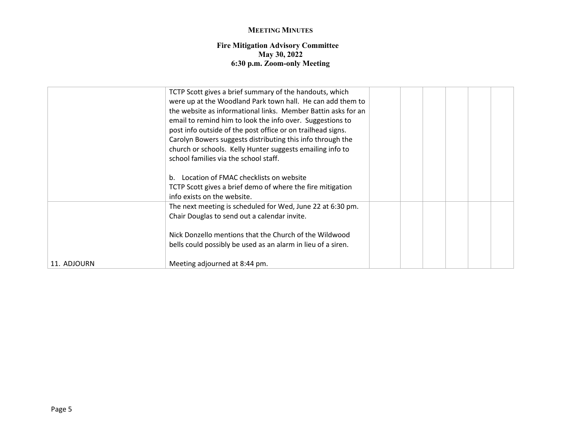|             | TCTP Scott gives a brief summary of the handouts, which<br>were up at the Woodland Park town hall. He can add them to<br>the website as informational links. Member Battin asks for an<br>email to remind him to look the info over. Suggestions to<br>post info outside of the post office or on trailhead signs.<br>Carolyn Bowers suggests distributing this info through the<br>church or schools. Kelly Hunter suggests emailing info to<br>school families via the school staff.<br>b. Location of FMAC checklists on website |  |  |  |
|-------------|-------------------------------------------------------------------------------------------------------------------------------------------------------------------------------------------------------------------------------------------------------------------------------------------------------------------------------------------------------------------------------------------------------------------------------------------------------------------------------------------------------------------------------------|--|--|--|
|             | TCTP Scott gives a brief demo of where the fire mitigation<br>info exists on the website.                                                                                                                                                                                                                                                                                                                                                                                                                                           |  |  |  |
|             | The next meeting is scheduled for Wed, June 22 at 6:30 pm.<br>Chair Douglas to send out a calendar invite.<br>Nick Donzello mentions that the Church of the Wildwood                                                                                                                                                                                                                                                                                                                                                                |  |  |  |
| 11. ADJOURN | bells could possibly be used as an alarm in lieu of a siren.<br>Meeting adjourned at 8:44 pm.                                                                                                                                                                                                                                                                                                                                                                                                                                       |  |  |  |
|             |                                                                                                                                                                                                                                                                                                                                                                                                                                                                                                                                     |  |  |  |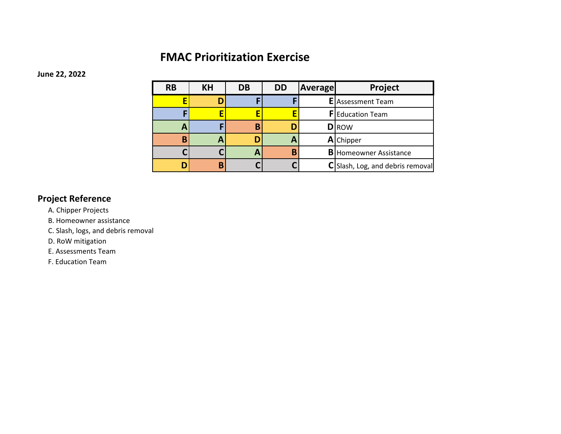# **FMAC Prioritization Exercise**

**June 22, 2022**

| <b>RB</b> | <b>KH</b> | <b>DB</b> | <b>DD</b> | <b>Average</b> | Project                          |
|-----------|-----------|-----------|-----------|----------------|----------------------------------|
|           |           |           |           |                | <b>E</b> Assessment Team         |
|           |           |           |           |                | <b>F</b> Education Team          |
|           |           | R         |           |                | <b>D</b> ROW                     |
|           | А         |           | A         |                | <b>A</b> Chipper                 |
|           |           |           | B         |                | <b>B</b> Homeowner Assistance    |
|           | R         |           |           |                | C Slash, Log, and debris removal |

## **Project Reference**

A. Chipper Projects

B. Homeowner assistance

C. Slash, logs, and debris removal

D. RoW mitigation

E. Assessments Team

F. Education Team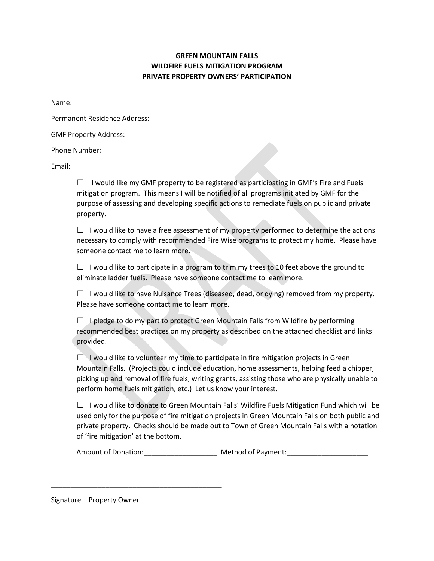## **GREEN MOUNTAIN FALLS WILDFIRE FUELS MITIGATION PROGRAM PRIVATE PROPERTY OWNERS' PARTICIPATION**

Name:

Permanent Residence Address:

GMF Property Address:

Phone Number:

Email:

 $\Box$  I would like my GMF property to be registered as participating in GMF's Fire and Fuels mitigation program. This means I will be notified of all programs initiated by GMF for the purpose of assessing and developing specific actions to remediate fuels on public and private property.

 $\Box$  I would like to have a free assessment of my property performed to determine the actions necessary to comply with recommended Fire Wise programs to protect my home. Please have someone contact me to learn more.

 $\Box$  I would like to participate in a program to trim my trees to 10 feet above the ground to eliminate ladder fuels. Please have someone contact me to learn more.

 $\Box$  I would like to have Nuisance Trees (diseased, dead, or dying) removed from my property. Please have someone contact me to learn more.

 $\Box$  I pledge to do my part to protect Green Mountain Falls from Wildfire by performing recommended best practices on my property as described on the attached checklist and links provided.

 $\Box$  I would like to volunteer my time to participate in fire mitigation projects in Green Mountain Falls. (Projects could include education, home assessments, helping feed a chipper, picking up and removal of fire fuels, writing grants, assisting those who are physically unable to perform home fuels mitigation, etc.) Let us know your interest.

 $\Box$  I would like to donate to Green Mountain Falls' Wildfire Fuels Mitigation Fund which will be used only for the purpose of fire mitigation projects in Green Mountain Falls on both public and private property. Checks should be made out to Town of Green Mountain Falls with a notation of 'fire mitigation' at the bottom.

Amount of Donation: entitled a Method of Payment:

Signature – Property Owner

\_\_\_\_\_\_\_\_\_\_\_\_\_\_\_\_\_\_\_\_\_\_\_\_\_\_\_\_\_\_\_\_\_\_\_\_\_\_\_\_\_\_\_\_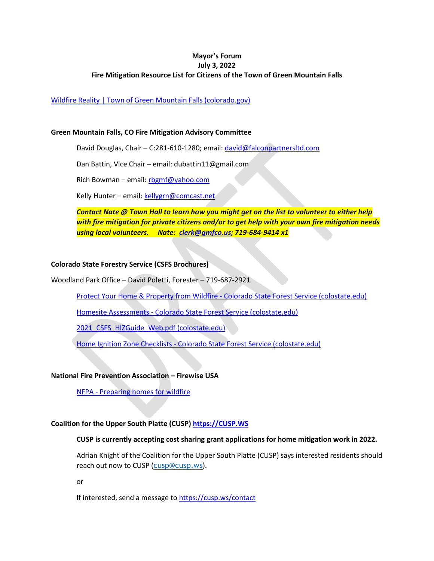### **Mayor's Forum July 3, 2022 Fire Mitigation Resource List for Citizens of the Town of Green Mountain Falls**

### [Wildfire Reality | Town of Green Mountain Falls \(colorado.gov\)](https://greenmountainfalls.colorado.gov/fire/flood/wildfire-reality)

#### **Green Mountain Falls, CO Fire Mitigation Advisory Committee**

David Douglas, Chair - C:281-610-1280; email: [david@falconpartnersltd.com](mailto:david@falconpartnersltd.com)

Dan Battin, Vice Chair – email: dubattin11@gmail.com

Rich Bowman – email: [rbgmf@yahoo.com](mailto:rbgmf@yahoo.com)

Kelly Hunter – email[: kellygrn@comcast.net](mailto:kellygrn@comcast.net)

*Contact Nate @ Town Hall to learn how you might get on the list to volunteer to either help with fire mitigation for private citizens and/or to get help with your own fire mitigation needs using local volunteers. Nate: [clerk@gmfco.us;](mailto:clerk@gmfco.us) 719-684-9414 x1*

#### **Colorado State Forestry Service (CSFS Brochures)**

Woodland Park Office – David Poletti, Forester – 719-687-2921

[Protect Your Home & Property from Wildfire -](https://csfs.colostate.edu/wildfire-mitigation/protect-your-home-property-from-wildfire/) Colorado State Forest Service (colostate.edu)

Homesite Assessments - [Colorado State Forest Service \(colostate.edu\)](https://csfs.colostate.edu/homeowners-landowners/homesite-assessments/)

2021 CSFS HIZGuide Web.pdf (colostate.edu)

Home Ignition Zone Checklists - [Colorado State Forest Service \(colostate.edu\)](https://csfs.colostate.edu/wildfire-mitigation/home-ignition-zone-checklists/)

#### **National Fire Prevention Association – Firewise USA**

NFPA - [Preparing homes for wildfire](https://www.nfpa.org/Public-Education/Fire-causes-and-risks/Wildfire/Preparing-homes-for-wildfire)

#### **Coalition for the Upper South Platte (CUSP) [https://CUSP.WS](https://cusp.ws/)**

#### **CUSP is currently accepting cost sharing grant applications for home mitigation work in 2022.**

Adrian Knight of the Coalition for the Upper South Platte (CUSP) says interested residents should reach out now to CUSP ([cusp@cusp.ws](mailto:cusp@cusp.ws)).

or

If interested, send a message t[o https://cusp.ws/contact](https://cusp.ws/contact)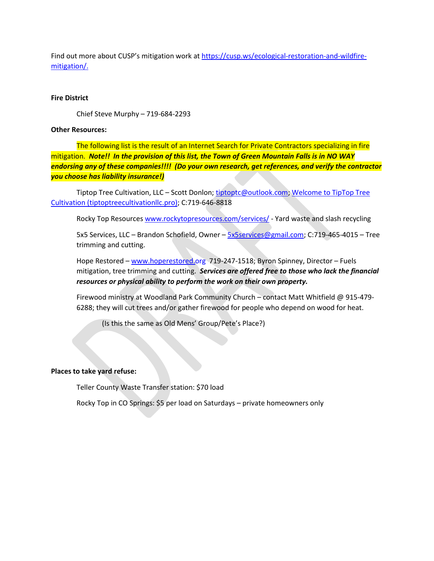Find out more about CUSP's mitigation work at [https://cusp.ws/ecological-restoration-and-wildfire](https://cusp.ws/ecological-restoration-and-wildfire-mitigation/)[mitigation/.](https://cusp.ws/ecological-restoration-and-wildfire-mitigation/)

#### **Fire District**

Chief Steve Murphy – 719-684-2293

#### **Other Resources:**

The following list is the result of an Internet Search for Private Contractors specializing in fire mitigation. *Note!! In the provision of this list, the Town of Green Mountain Falls is in NO WAY endorsing any of these companies!!!! (Do your own research, get references, and verify the contractor you choose has liability insurance!)*

Tiptop Tree Cultivation, LLC – Scott Donlon; [tiptoptc@outlook.com;](mailto:tiptoptc@outlook.com) [Welcome to TipTop Tree](https://www.tiptoptreecultivationllc.pro/)  [Cultivation \(tiptoptreecultivationllc.pro\);](https://www.tiptoptreecultivationllc.pro/) C:719-646-8818

Rocky Top Resource[s www.rockytopresources.com/services/](http://www.rockytopresources.com/services/) - Yard waste and slash recycling

5x5 Services, LLC – Brandon Schofield, Owner – [5x5services@gmail.com;](mailto:5x5services@gmail.com) C:719-465-4015 – Tree trimming and cutting.

Hope Restored - [www.hoperestored.org](http://www.hoperestored.org/) 719-247-1518; Byron Spinney, Director - Fuels mitigation, tree trimming and cutting. *Services are offered free to those who lack the financial resources or physical ability to perform the work on their own property.*

Firewood ministry at Woodland Park Community Church – contact Matt Whitfield @ 915-479- 6288; they will cut trees and/or gather firewood for people who depend on wood for heat.

(Is this the same as Old Mens' Group/Pete's Place?)

#### **Places to take yard refuse:**

Teller County Waste Transfer station: \$70 load

Rocky Top in CO Springs: \$5 per load on Saturdays – private homeowners only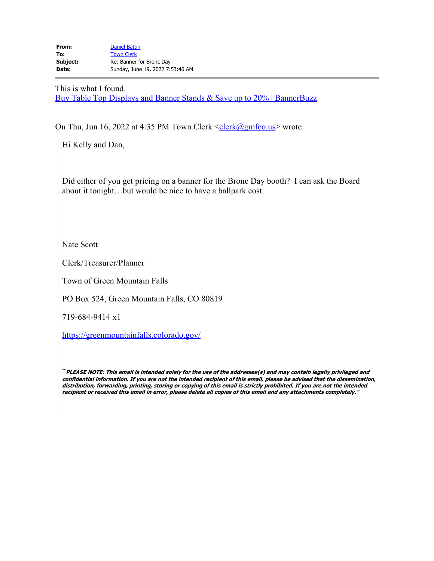This is what I found. [Buy Table Top Displays and Banner Stands & Save up to 20% | BannerBuzz](https://www.bannerbuzz.com/table-top-displays)

On Thu, Jun 16, 2022 at 4:35 PM Town Clerk  $\leq$ clerk $\omega$ gmfco.us</u>> wrote:

Hi Kelly and Dan,

Did either of you get pricing on a banner for the Bronc Day booth? I can ask the Board about it tonight…but would be nice to have a ballpark cost.

Nate Scott

Clerk/Treasurer/Planner

Town of Green Mountain Falls

PO Box 524, Green Mountain Falls, CO 80819

719-684-9414 x1

<https://greenmountainfalls.colorado.gov/>

"**PLEASE NOTE: This email is intended solely for the use of the addressee(s) and may contain legally privileged and confidential information. If you are not the intended recipient of this email, please be advised that the dissemination, distribution, forwarding, printing, storing or copying of this email is strictly prohibited. If you are not the intended recipient or received this email in error, please delete all copies of this email and any attachments completely."**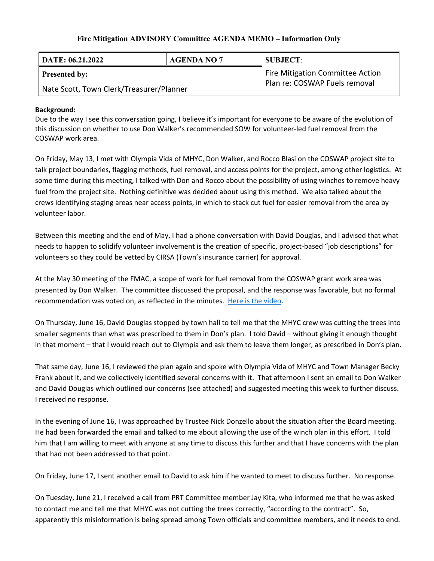## **Fire Mitigation ADVISORY Committee AGENDA MEMO – Information Only**

| DATE: 06.21.2022                         | <b>AGENDA NO 7</b>               | <b>SUBJECT:</b> |  |  |  |
|------------------------------------------|----------------------------------|-----------------|--|--|--|
| <b>Presented by:</b>                     | Fire Mitigation Committee Action |                 |  |  |  |
| Nate Scott, Town Clerk/Treasurer/Planner | Plan re: COSWAP Fuels removal    |                 |  |  |  |

## **Background:**

Due to the way I see this conversation going, I believe it's important for everyone to be aware of the evolution of this discussion on whether to use Don Walker's recommended SOW for volunteer-led fuel removal from the COSWAP work area.

On Friday, May 13, I met with Olympia Vida of MHYC, Don Walker, and Rocco Blasi on the COSWAP project site to talk project boundaries, flagging methods, fuel removal, and access points for the project, among other logistics. At some time during this meeting, I talked with Don and Rocco about the possibility of using winches to remove heavy fuel from the project site. Nothing definitive was decided about using this method. We also talked about the crews identifying staging areas near access points, in which to stack cut fuel for easier removal from the area by volunteer labor.

Between this meeting and the end of May, I had a phone conversation with David Douglas, and I advised that what needs to happen to solidify volunteer involvement is the creation of specific, project-based "job descriptions" for volunteers so they could be vetted by CIRSA (Town's insurance carrier) for approval.

At the May 30 meeting of the FMAC, a scope of work for fuel removal from the COSWAP grant work area was presented by Don Walker. The committee discussed the proposal, and the response was favorable, but no formal recommendation was voted on, as reflected in the minutes. [Here is the video.](https://youtu.be/w8rotznmw-0)

On Thursday, June 16, David Douglas stopped by town hall to tell me that the MHYC crew was cutting the trees into smaller segments than what was prescribed to them in Don's plan. I told David – without giving it enough thought in that moment – that I would reach out to Olympia and ask them to leave them longer, as prescribed in Don's plan.

That same day, June 16, I reviewed the plan again and spoke with Olympia Vida of MHYC and Town Manager Becky Frank about it, and we collectively identified several concerns with it. That afternoon I sent an email to Don Walker and David Douglas which outlined our concerns (see attached) and suggested meeting this week to further discuss. I received no response.

In the evening of June 16, I was approached by Trustee Nick Donzello about the situation after the Board meeting. He had been forwarded the email and talked to me about allowing the use of the winch plan in this effort. I told him that I am willing to meet with anyone at any time to discuss this further and that I have concerns with the plan that had not been addressed to that point.

On Friday, June 17, I sent another email to David to ask him if he wanted to meet to discuss further. No response.

On Tuesday, June 21, I received a call from PRT Committee member Jay Kita, who informed me that he was asked to contact me and tell me that MHYC was not cutting the trees correctly, "according to the contract". So, apparently this misinformation is being spread among Town officials and committee members, and it needs to end.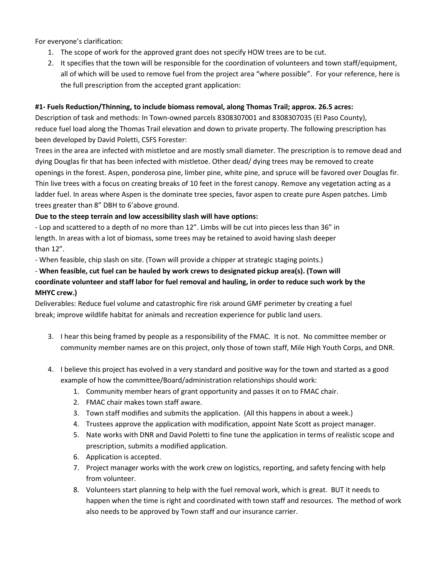For everyone's clarification:

- 1. The scope of work for the approved grant does not specify HOW trees are to be cut.
- 2. It specifies that the town will be responsible for the coordination of volunteers and town staff/equipment, all of which will be used to remove fuel from the project area "where possible". For your reference, here is the full prescription from the accepted grant application:

### **#1- Fuels Reduction/Thinning, to include biomass removal, along Thomas Trail; approx. 26.5 acres:**

Description of task and methods: In Town-owned parcels 8308307001 and 8308307035 (El Paso County), reduce fuel load along the Thomas Trail elevation and down to private property. The following prescription has been developed by David Poletti, CSFS Forester:

Trees in the area are infected with mistletoe and are mostly small diameter. The prescription is to remove dead and dying Douglas fir that has been infected with mistletoe. Other dead/ dying trees may be removed to create openings in the forest. Aspen, ponderosa pine, limber pine, white pine, and spruce will be favored over Douglas fir. Thin live trees with a focus on creating breaks of 10 feet in the forest canopy. Remove any vegetation acting as a ladder fuel. In areas where Aspen is the dominate tree species, favor aspen to create pure Aspen patches. Limb trees greater than 8" DBH to 6'above ground.

### **Due to the steep terrain and low accessibility slash will have options:**

- Lop and scattered to a depth of no more than 12". Limbs will be cut into pieces less than 36" in length. In areas with a lot of biomass, some trees may be retained to avoid having slash deeper than 12".

- When feasible, chip slash on site. (Town will provide a chipper at strategic staging points.)

## - **When feasible, cut fuel can be hauled by work crews to designated pickup area(s). (Town will coordinate volunteer and staff labor for fuel removal and hauling, in order to reduce such work by the MHYC crew.)**

Deliverables: Reduce fuel volume and catastrophic fire risk around GMF perimeter by creating a fuel break; improve wildlife habitat for animals and recreation experience for public land users.

- 3. I hear this being framed by people as a responsibility of the FMAC. It is not. No committee member or community member names are on this project, only those of town staff, Mile High Youth Corps, and DNR.
- 4. I believe this project has evolved in a very standard and positive way for the town and started as a good example of how the committee/Board/administration relationships should work:
	- 1. Community member hears of grant opportunity and passes it on to FMAC chair.
	- 2. FMAC chair makes town staff aware.
	- 3. Town staff modifies and submits the application. (All this happens in about a week.)
	- 4. Trustees approve the application with modification, appoint Nate Scott as project manager.
	- 5. Nate works with DNR and David Poletti to fine tune the application in terms of realistic scope and prescription, submits a modified application.
	- 6. Application is accepted.
	- 7. Project manager works with the work crew on logistics, reporting, and safety fencing with help from volunteer.
	- 8. Volunteers start planning to help with the fuel removal work, which is great. BUT it needs to happen when the time is right and coordinated with town staff and resources. The method of work also needs to be approved by Town staff and our insurance carrier.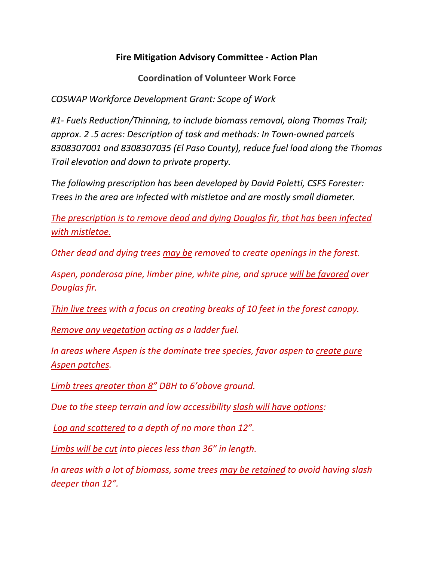## **Fire Mitigation Advisory Committee - Action Plan**

**Coordination of Volunteer Work Force**

*COSWAP Workforce Development Grant: Scope of Work*

*#1- Fuels Reduction/Thinning, to include biomass removal, along Thomas Trail; approx. 2 .5 acres: Description of task and methods: In Town-owned parcels 8308307001 and 8308307035 (El Paso County), reduce fuel load along the Thomas Trail elevation and down to private property.* 

*The following prescription has been developed by David Poletti, CSFS Forester: Trees in the area are infected with mistletoe and are mostly small diameter.* 

*The prescription is to remove dead and dying Douglas fir, that has been infected with mistletoe.* 

*Other dead and dying trees may be removed to create openings in the forest.* 

*Aspen, ponderosa pine, limber pine, white pine, and spruce will be favored over Douglas fir.* 

*Thin live trees with a focus on creating breaks of 10 feet in the forest canopy.* 

*Remove any vegetation acting as a ladder fuel.* 

*In areas where Aspen is the dominate tree species, favor aspen to create pure Aspen patches.* 

*Limb trees greater than 8" DBH to 6'above ground.* 

*Due to the steep terrain and low accessibility slash will have options:* 

*Lop and scattered to a depth of no more than 12".* 

*Limbs will be cut into pieces less than 36" in length.* 

*In areas with a lot of biomass, some trees may be retained to avoid having slash deeper than 12".*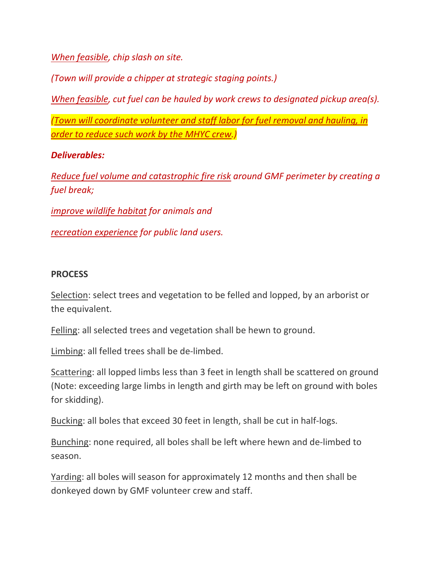*When feasible, chip slash on site.* 

*(Town will provide a chipper at strategic staging points.)* 

*When feasible, cut fuel can be hauled by work crews to designated pickup area(s).* 

*(Town will coordinate volunteer and staff labor for fuel removal and hauling, in order to reduce such work by the MHYC crew.)* 

## *Deliverables:*

*Reduce fuel volume and catastrophic fire risk around GMF perimeter by creating a fuel break;* 

*improve wildlife habitat for animals and* 

*recreation experience for public land users.*

## **PROCESS**

Selection: select trees and vegetation to be felled and lopped, by an arborist or the equivalent.

Felling: all selected trees and vegetation shall be hewn to ground.

Limbing: all felled trees shall be de-limbed.

Scattering: all lopped limbs less than 3 feet in length shall be scattered on ground (Note: exceeding large limbs in length and girth may be left on ground with boles for skidding).

Bucking: all boles that exceed 30 feet in length, shall be cut in half-logs.

Bunching: none required, all boles shall be left where hewn and de-limbed to season.

Yarding: all boles will season for approximately 12 months and then shall be donkeyed down by GMF volunteer crew and staff.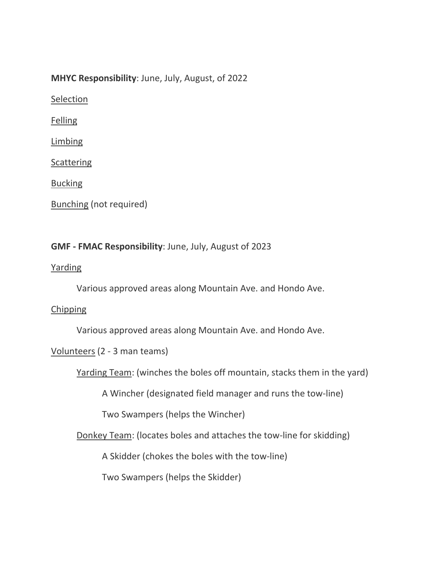## **MHYC Responsibility**: June, July, August, of 2022

**Selection** 

Felling

Limbing

**Scattering** 

Bucking

```
Bunching (not required)
```
## **GMF - FMAC Responsibility**: June, July, August of 2023

## Yarding

Various approved areas along Mountain Ave. and Hondo Ave.

## **Chipping**

Various approved areas along Mountain Ave. and Hondo Ave.

Volunteers (2 - 3 man teams)

Yarding Team: (winches the boles off mountain, stacks them in the yard)

A Wincher (designated field manager and runs the tow-line)

Two Swampers (helps the Wincher)

Donkey Team: (locates boles and attaches the tow-line for skidding)

A Skidder (chokes the boles with the tow-line)

Two Swampers (helps the Skidder)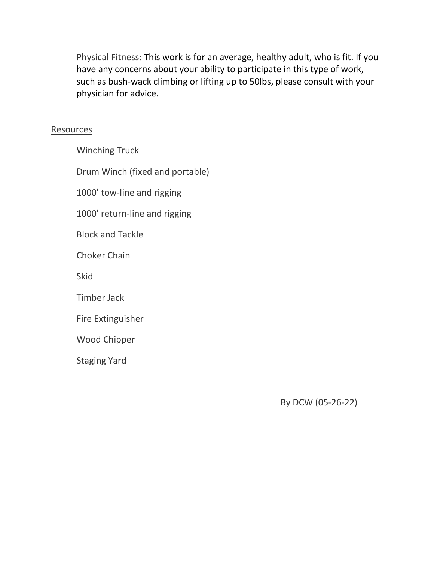Physical Fitness: This work is for an average, healthy adult, who is fit. If you have any concerns about your ability to participate in this type of work, such as bush-wack climbing or lifting up to 50lbs, please consult with your physician for advice.

## **Resources**

Winching Truck Drum Winch (fixed and portable) 1000' tow-line and rigging 1000' return-line and rigging Block and Tackle Choker Chain Skid Timber Jack Fire Extinguisher Wood Chipper Staging Yard

By DCW (05-26-22)